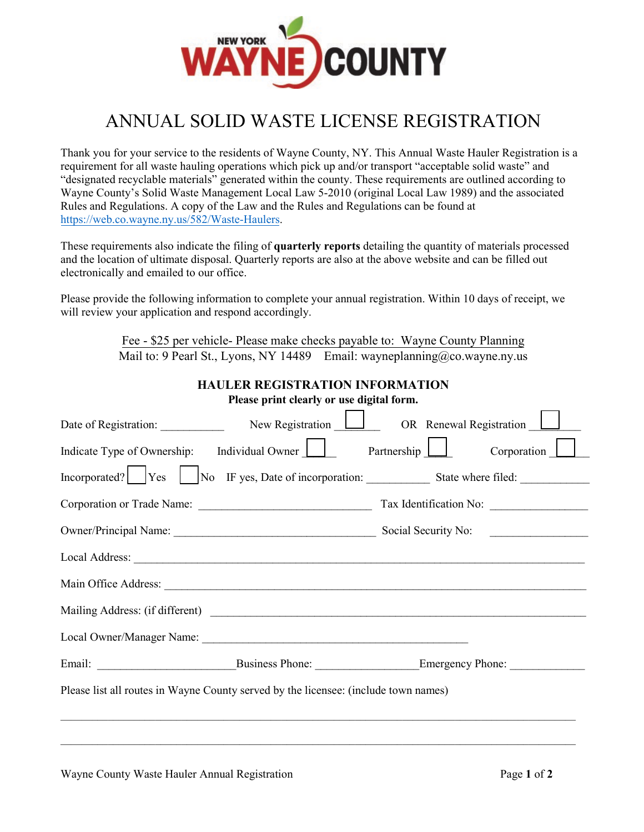

## ANNUAL SOLID WASTE LICENSE REGISTRATION

Thank you for your service to the residents of Wayne County, NY. This Annual Waste Hauler Registration is a requirement for all waste hauling operations which pick up and/or transport "acceptable solid waste" and "designated recyclable materials" generated within the county. These requirements are outlined according to Wayne County's Solid Waste Management Local Law 5-2010 (original Local Law 1989) and the associated Rules and Regulations. A copy of the Law and the Rules and Regulations can be found at <https://web.co.wayne.ny.us/>582/Waste-Haulers.

These requirements also indicate the filing of **quarterly reports** detailing the quantity of materials processed and the location of ultimate disposal. Quarterly reports are also at the above website and can be filled out electronically and emailed to our office.

Please provide the following information to complete your annual registration. Within 10 days of receipt, we will review your application and respond accordingly.

| Fee - \$25 per vehicle- Please make checks payable to: Wayne County Planning        |                                        |  |  |  |  |  |  |  |  |  |
|-------------------------------------------------------------------------------------|----------------------------------------|--|--|--|--|--|--|--|--|--|
| Mail to: 9 Pearl St., Lyons, NY 14489 Email: wayneplanning@co.wayne.ny.us           |                                        |  |  |  |  |  |  |  |  |  |
|                                                                                     | <b>HAULER REGISTRATION INFORMATION</b> |  |  |  |  |  |  |  |  |  |
| Please print clearly or use digital form.                                           |                                        |  |  |  |  |  |  |  |  |  |
| Date of Registration: New Registration New Registration OR Renewal Registration     |                                        |  |  |  |  |  |  |  |  |  |
| Indicate Type of Ownership: Individual Owner Partnership Corporation                |                                        |  |  |  |  |  |  |  |  |  |
| Incorporated? Yes Mo IF yes, Date of incorporation: State where filed:              |                                        |  |  |  |  |  |  |  |  |  |
|                                                                                     |                                        |  |  |  |  |  |  |  |  |  |
|                                                                                     |                                        |  |  |  |  |  |  |  |  |  |
|                                                                                     |                                        |  |  |  |  |  |  |  |  |  |
|                                                                                     |                                        |  |  |  |  |  |  |  |  |  |
|                                                                                     |                                        |  |  |  |  |  |  |  |  |  |
|                                                                                     |                                        |  |  |  |  |  |  |  |  |  |
|                                                                                     |                                        |  |  |  |  |  |  |  |  |  |
| Please list all routes in Wayne County served by the licensee: (include town names) |                                        |  |  |  |  |  |  |  |  |  |
|                                                                                     |                                        |  |  |  |  |  |  |  |  |  |